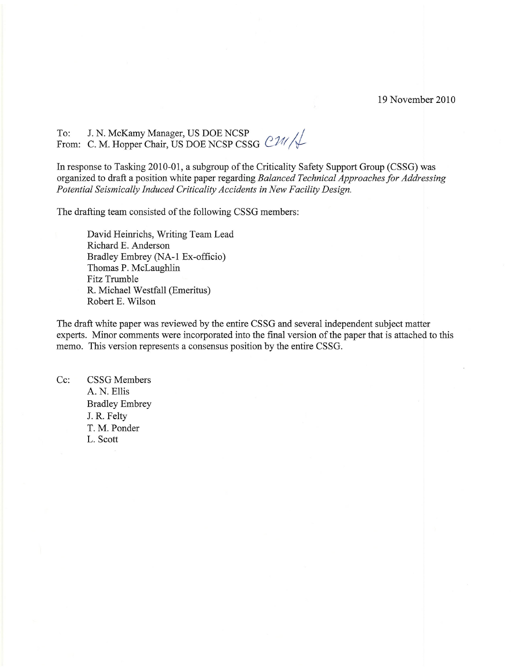### 19 November 2010

To: J. N. McKamy Manager, US DOE NCSP<br>From: C. M. Hopper Chair, US DOE NCSP CSSG CM/

In response to Tasking 2010-01, a subgroup of the Criticality Safety Support Group (CSSG) was organized to draft a position white paper regarding Balanced Technical Approaches for Addressing Potential Seismically Induced Criticality Accidents in New Facility Design.

The drafting team consisted of the following CSSG members:

David Heinrichs, Writing Team Lead Richard E. Anderson Bradley Embrey (NA-1 Ex-officio) Thomas P. McLaughlin Fitz Trumble R. Michael Westfall (Emeritus) Robert E. Wilson

The draft white paper was reviewed by the entire CSSG and several independent subject matter experts. Minor comments were incorporated into the final version of the paper that is attached to this memo. This version represents a consensus position by the entire CSSG.

Cc: **CSSG** Members A. N. Ellis **Bradley Embrey** J. R. Felty T. M. Ponder L. Scott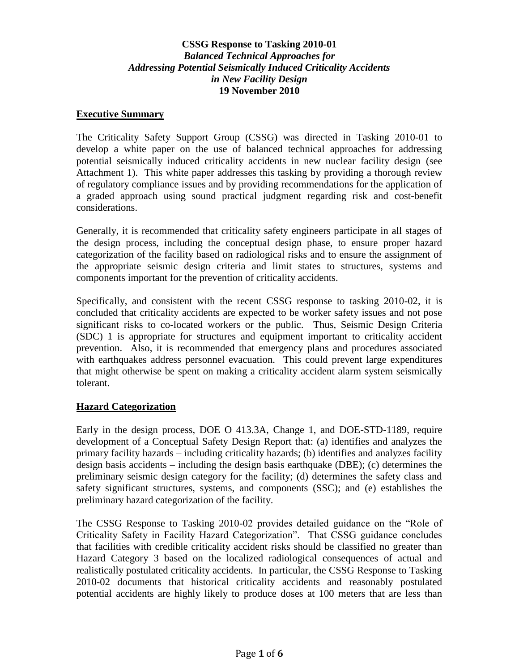# **CSSG Response to Tasking 2010-01** *Balanced Technical Approaches for Addressing Potential Seismically Induced Criticality Accidents in New Facility Design* **19 November 2010**

### **Executive Summary**

The Criticality Safety Support Group (CSSG) was directed in Tasking 2010-01 to develop a white paper on the use of balanced technical approaches for addressing potential seismically induced criticality accidents in new nuclear facility design (see Attachment 1). This white paper addresses this tasking by providing a thorough review of regulatory compliance issues and by providing recommendations for the application of a graded approach using sound practical judgment regarding risk and cost-benefit considerations.

Generally, it is recommended that criticality safety engineers participate in all stages of the design process, including the conceptual design phase, to ensure proper hazard categorization of the facility based on radiological risks and to ensure the assignment of the appropriate seismic design criteria and limit states to structures, systems and components important for the prevention of criticality accidents.

Specifically, and consistent with the recent CSSG response to tasking 2010-02, it is concluded that criticality accidents are expected to be worker safety issues and not pose significant risks to co-located workers or the public. Thus, Seismic Design Criteria (SDC) 1 is appropriate for structures and equipment important to criticality accident prevention. Also, it is recommended that emergency plans and procedures associated with earthquakes address personnel evacuation. This could prevent large expenditures that might otherwise be spent on making a criticality accident alarm system seismically tolerant.

## **Hazard Categorization**

Early in the design process, DOE O 413.3A, Change 1, and DOE-STD-1189, require development of a Conceptual Safety Design Report that: (a) identifies and analyzes the primary facility hazards – including criticality hazards; (b) identifies and analyzes facility design basis accidents – including the design basis earthquake (DBE); (c) determines the preliminary seismic design category for the facility; (d) determines the safety class and safety significant structures, systems, and components (SSC); and (e) establishes the preliminary hazard categorization of the facility.

The CSSG Response to Tasking 2010-02 provides detailed guidance on the "Role of Criticality Safety in Facility Hazard Categorization". That CSSG guidance concludes that facilities with credible criticality accident risks should be classified no greater than Hazard Category 3 based on the localized radiological consequences of actual and realistically postulated criticality accidents. In particular, the CSSG Response to Tasking 2010-02 documents that historical criticality accidents and reasonably postulated potential accidents are highly likely to produce doses at 100 meters that are less than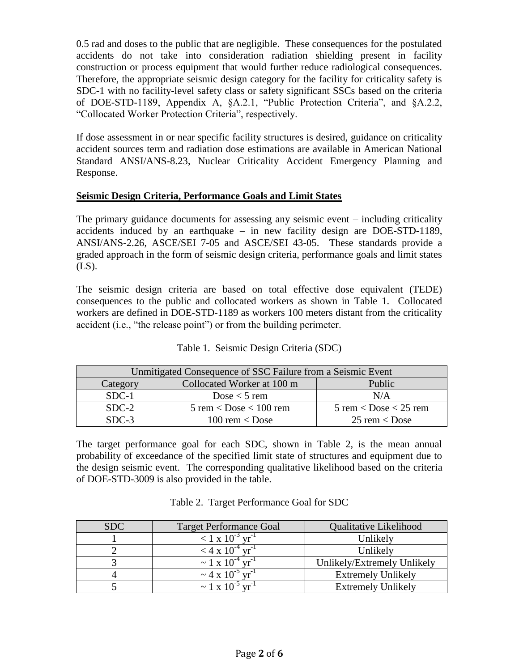0.5 rad and doses to the public that are negligible. These consequences for the postulated accidents do not take into consideration radiation shielding present in facility construction or process equipment that would further reduce radiological consequences. Therefore, the appropriate seismic design category for the facility for criticality safety is SDC-1 with no facility-level safety class or safety significant SSCs based on the criteria of DOE-STD-1189, Appendix A, §A.2.1, "Public Protection Criteria", and §A.2.2, "Collocated Worker Protection Criteria", respectively.

If dose assessment in or near specific facility structures is desired, guidance on criticality accident sources term and radiation dose estimations are available in American National Standard ANSI/ANS-8.23, Nuclear Criticality Accident Emergency Planning and Response.

# **Seismic Design Criteria, Performance Goals and Limit States**

The primary guidance documents for assessing any seismic event – including criticality accidents induced by an earthquake – in new facility design are DOE-STD-1189, ANSI/ANS-2.26, ASCE/SEI 7-05 and ASCE/SEI 43-05. These standards provide a graded approach in the form of seismic design criteria, performance goals and limit states (LS).

The seismic design criteria are based on total effective dose equivalent (TEDE) consequences to the public and collocated workers as shown in Table 1. Collocated workers are defined in DOE-STD-1189 as workers 100 meters distant from the criticality accident (i.e., "the release point") or from the building perimeter.

| Unmitigated Consequence of SSC Failure from a Seismic Event |                                          |                                         |  |
|-------------------------------------------------------------|------------------------------------------|-----------------------------------------|--|
| Category                                                    | Collocated Worker at 100 m               | Public                                  |  |
| $SDC-1$                                                     | Dose $<$ 5 rem                           | N/A                                     |  |
| $SDC-2$                                                     | $5$ rem $\langle$ Dose $\langle 100$ rem | $5$ rem $\langle$ Dose $\langle$ 25 rem |  |
| $SDC-3$                                                     | 100 rem $\langle$ Dose                   | $25$ rem $\leq$ Dose                    |  |

# Table 1. Seismic Design Criteria (SDC)

The target performance goal for each SDC, shown in Table 2, is the mean annual probability of exceedance of the specified limit state of structures and equipment due to the design seismic event. The corresponding qualitative likelihood based on the criteria of DOE-STD-3009 is also provided in the table.

| <b>SDC</b> | <b>Target Performance Goal</b>            | Qualitative Likelihood      |
|------------|-------------------------------------------|-----------------------------|
|            | $1 \times 10^{-3}$ yr <sup>-1</sup>       | Unlikely                    |
|            | $<$ 4 x 10 <sup>-4</sup> yr <sup>-1</sup> | Unlikely                    |
|            | $\sim 1 \times 10^{-4}$                   | Unlikely/Extremely Unlikely |
|            | $\sim$ 4 x 10 <sup>-5</sup>               | <b>Extremely Unlikely</b>   |
|            | $\sim$ 1 x 10                             | <b>Extremely Unlikely</b>   |

Table 2. Target Performance Goal for SDC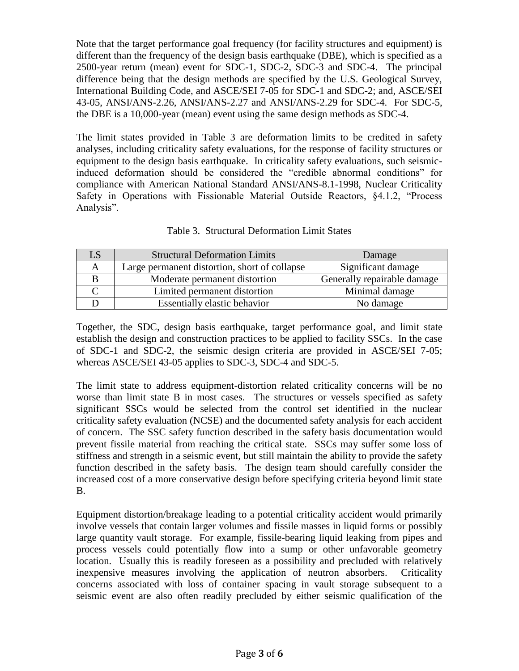Note that the target performance goal frequency (for facility structures and equipment) is different than the frequency of the design basis earthquake (DBE), which is specified as a 2500-year return (mean) event for SDC-1, SDC-2, SDC-3 and SDC-4. The principal difference being that the design methods are specified by the U.S. Geological Survey, International Building Code, and ASCE/SEI 7-05 for SDC-1 and SDC-2; and, ASCE/SEI 43-05, ANSI/ANS-2.26, ANSI/ANS-2.27 and ANSI/ANS-2.29 for SDC-4. For SDC-5, the DBE is a 10,000-year (mean) event using the same design methods as SDC-4.

The limit states provided in Table 3 are deformation limits to be credited in safety analyses, including criticality safety evaluations, for the response of facility structures or equipment to the design basis earthquake. In criticality safety evaluations, such seismicinduced deformation should be considered the "credible abnormal conditions" for compliance with American National Standard ANSI/ANS-8.1-1998, Nuclear Criticality Safety in Operations with Fissionable Material Outside Reactors, §4.1.2, "Process Analysis".

| <b>Structural Deformation Limits</b>          | Damage                      |
|-----------------------------------------------|-----------------------------|
| Large permanent distortion, short of collapse | Significant damage          |
| Moderate permanent distortion                 | Generally repairable damage |
| Limited permanent distortion                  | Minimal damage              |
| <b>Essentially elastic behavior</b>           | No damage                   |

Table 3. Structural Deformation Limit States

Together, the SDC, design basis earthquake, target performance goal, and limit state establish the design and construction practices to be applied to facility SSCs. In the case of SDC-1 and SDC-2, the seismic design criteria are provided in ASCE/SEI 7-05; whereas ASCE/SEI 43-05 applies to SDC-3, SDC-4 and SDC-5.

The limit state to address equipment-distortion related criticality concerns will be no worse than limit state B in most cases. The structures or vessels specified as safety significant SSCs would be selected from the control set identified in the nuclear criticality safety evaluation (NCSE) and the documented safety analysis for each accident of concern. The SSC safety function described in the safety basis documentation would prevent fissile material from reaching the critical state. SSCs may suffer some loss of stiffness and strength in a seismic event, but still maintain the ability to provide the safety function described in the safety basis. The design team should carefully consider the increased cost of a more conservative design before specifying criteria beyond limit state B.

Equipment distortion/breakage leading to a potential criticality accident would primarily involve vessels that contain larger volumes and fissile masses in liquid forms or possibly large quantity vault storage. For example, fissile-bearing liquid leaking from pipes and process vessels could potentially flow into a sump or other unfavorable geometry location. Usually this is readily foreseen as a possibility and precluded with relatively inexpensive measures involving the application of neutron absorbers. Criticality concerns associated with loss of container spacing in vault storage subsequent to a seismic event are also often readily precluded by either seismic qualification of the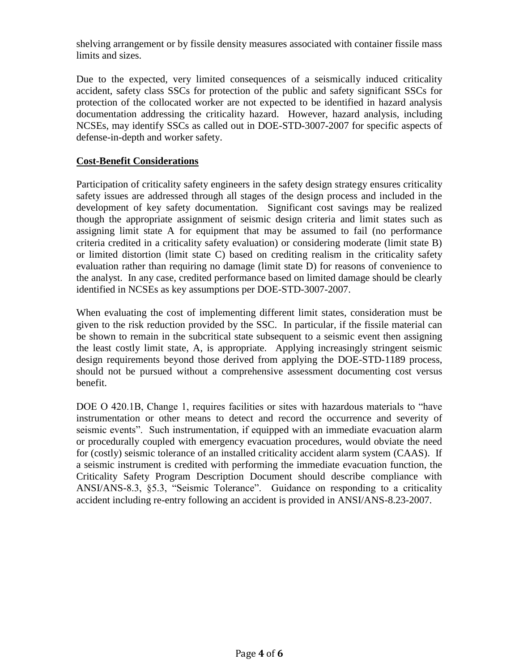shelving arrangement or by fissile density measures associated with container fissile mass limits and sizes.

Due to the expected, very limited consequences of a seismically induced criticality accident, safety class SSCs for protection of the public and safety significant SSCs for protection of the collocated worker are not expected to be identified in hazard analysis documentation addressing the criticality hazard. However, hazard analysis, including NCSEs, may identify SSCs as called out in DOE-STD-3007-2007 for specific aspects of defense-in-depth and worker safety.

# **Cost-Benefit Considerations**

Participation of criticality safety engineers in the safety design strategy ensures criticality safety issues are addressed through all stages of the design process and included in the development of key safety documentation. Significant cost savings may be realized though the appropriate assignment of seismic design criteria and limit states such as assigning limit state A for equipment that may be assumed to fail (no performance criteria credited in a criticality safety evaluation) or considering moderate (limit state B) or limited distortion (limit state C) based on crediting realism in the criticality safety evaluation rather than requiring no damage (limit state D) for reasons of convenience to the analyst. In any case, credited performance based on limited damage should be clearly identified in NCSEs as key assumptions per DOE-STD-3007-2007.

When evaluating the cost of implementing different limit states, consideration must be given to the risk reduction provided by the SSC. In particular, if the fissile material can be shown to remain in the subcritical state subsequent to a seismic event then assigning the least costly limit state, A, is appropriate. Applying increasingly stringent seismic design requirements beyond those derived from applying the DOE-STD-1189 process, should not be pursued without a comprehensive assessment documenting cost versus benefit.

DOE O 420.1B, Change 1, requires facilities or sites with hazardous materials to "have instrumentation or other means to detect and record the occurrence and severity of seismic events". Such instrumentation, if equipped with an immediate evacuation alarm or procedurally coupled with emergency evacuation procedures, would obviate the need for (costly) seismic tolerance of an installed criticality accident alarm system (CAAS). If a seismic instrument is credited with performing the immediate evacuation function, the Criticality Safety Program Description Document should describe compliance with ANSI/ANS-8.3, §5.3, "Seismic Tolerance". Guidance on responding to a criticality accident including re-entry following an accident is provided in ANSI/ANS-8.23-2007.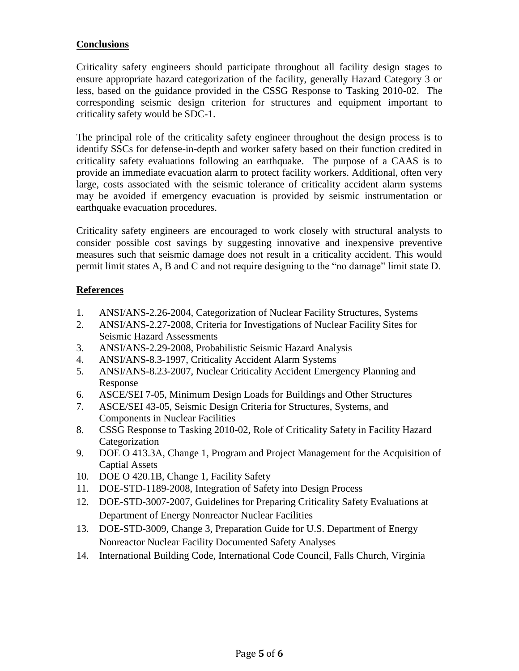# **Conclusions**

Criticality safety engineers should participate throughout all facility design stages to ensure appropriate hazard categorization of the facility, generally Hazard Category 3 or less, based on the guidance provided in the CSSG Response to Tasking 2010-02. The corresponding seismic design criterion for structures and equipment important to criticality safety would be SDC-1.

The principal role of the criticality safety engineer throughout the design process is to identify SSCs for defense-in-depth and worker safety based on their function credited in criticality safety evaluations following an earthquake. The purpose of a CAAS is to provide an immediate evacuation alarm to protect facility workers. Additional, often very large, costs associated with the seismic tolerance of criticality accident alarm systems may be avoided if emergency evacuation is provided by seismic instrumentation or earthquake evacuation procedures.

Criticality safety engineers are encouraged to work closely with structural analysts to consider possible cost savings by suggesting innovative and inexpensive preventive measures such that seismic damage does not result in a criticality accident. This would permit limit states A, B and C and not require designing to the "no damage" limit state D.

# **References**

- 1. ANSI/ANS-2.26-2004, Categorization of Nuclear Facility Structures, Systems
- 2. ANSI/ANS-2.27-2008, Criteria for Investigations of Nuclear Facility Sites for Seismic Hazard Assessments
- 3. ANSI/ANS-2.29-2008, Probabilistic Seismic Hazard Analysis
- 4. ANSI/ANS-8.3-1997, Criticality Accident Alarm Systems
- 5. ANSI/ANS-8.23-2007, Nuclear Criticality Accident Emergency Planning and Response
- 6. ASCE/SEI 7-05, Minimum Design Loads for Buildings and Other Structures
- 7. ASCE/SEI 43-05, Seismic Design Criteria for Structures, Systems, and Components in Nuclear Facilities
- 8. CSSG Response to Tasking 2010-02, Role of Criticality Safety in Facility Hazard Categorization
- 9. DOE O 413.3A, Change 1, Program and Project Management for the Acquisition of Captial Assets
- 10. DOE O 420.1B, Change 1, Facility Safety
- 11. DOE-STD-1189-2008, Integration of Safety into Design Process
- 12. DOE-STD-3007-2007, Guidelines for Preparing Criticality Safety Evaluations at Department of Energy Nonreactor Nuclear Facilities
- 13. DOE-STD-3009, Change 3, Preparation Guide for U.S. Department of Energy Nonreactor Nuclear Facility Documented Safety Analyses
- 14. International Building Code, International Code Council, Falls Church, Virginia